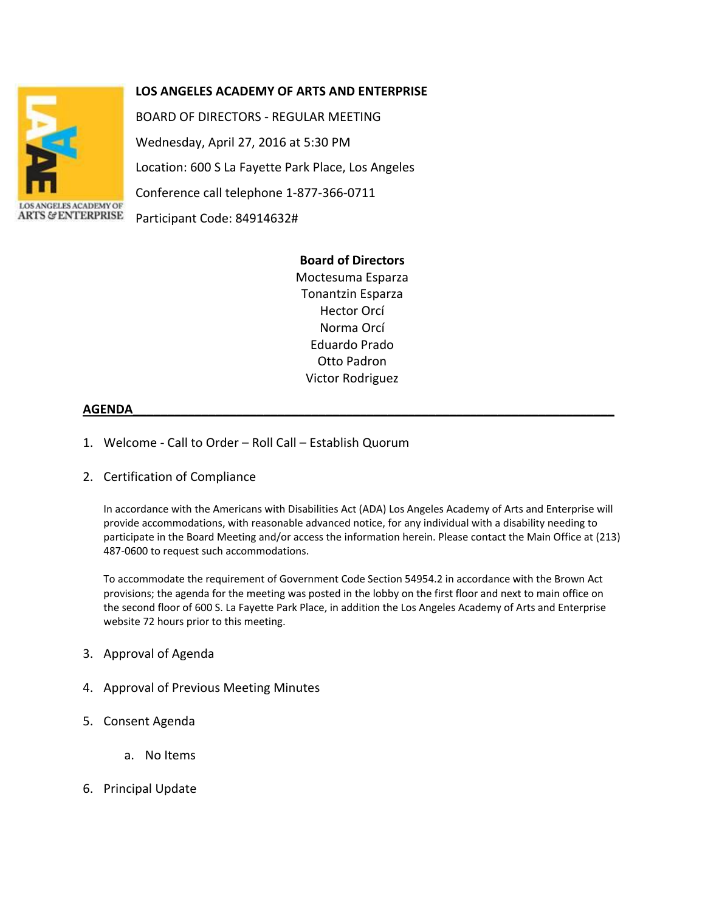

## **LOS ANGELES ACADEMY OF ARTS AND ENTERPRISE**

BOARD OF DIRECTORS - REGULAR MEETING Wednesday, April 27, 2016 at 5:30 PM Location: 600 S La Fayette Park Place, Los Angeles Conference call telephone 1-877-366-0711 Participant Code: 84914632#

## **Board of Directors**

Moctesuma Esparza Tonantzin Esparza Hector Orcí Norma Orcí Eduardo Prado Otto Padron Victor Rodriguez

## **AGENDA\_\_\_\_\_\_\_\_\_\_\_\_\_\_\_\_\_\_\_\_\_\_\_\_\_\_\_\_\_\_\_\_\_\_\_\_\_\_\_\_\_\_\_\_\_\_\_\_\_\_\_\_\_\_\_\_\_\_\_\_\_\_\_\_\_\_\_\_\_\_**

- 1. Welcome Call to Order Roll Call Establish Quorum
- 2. Certification of Compliance

In accordance with the Americans with Disabilities Act (ADA) Los Angeles Academy of Arts and Enterprise will provide accommodations, with reasonable advanced notice, for any individual with a disability needing to participate in the Board Meeting and/or access the information herein. Please contact the Main Office at (213) 487-0600 to request such accommodations.

To accommodate the requirement of Government Code Section 54954.2 in accordance with the Brown Act provisions; the agenda for the meeting was posted in the lobby on the first floor and next to main office on the second floor of 600 S. La Fayette Park Place, in addition the Los Angeles Academy of Arts and Enterprise website 72 hours prior to this meeting.

- 3. Approval of Agenda
- 4. Approval of Previous Meeting Minutes
- 5. Consent Agenda
	- a. No Items
- 6. Principal Update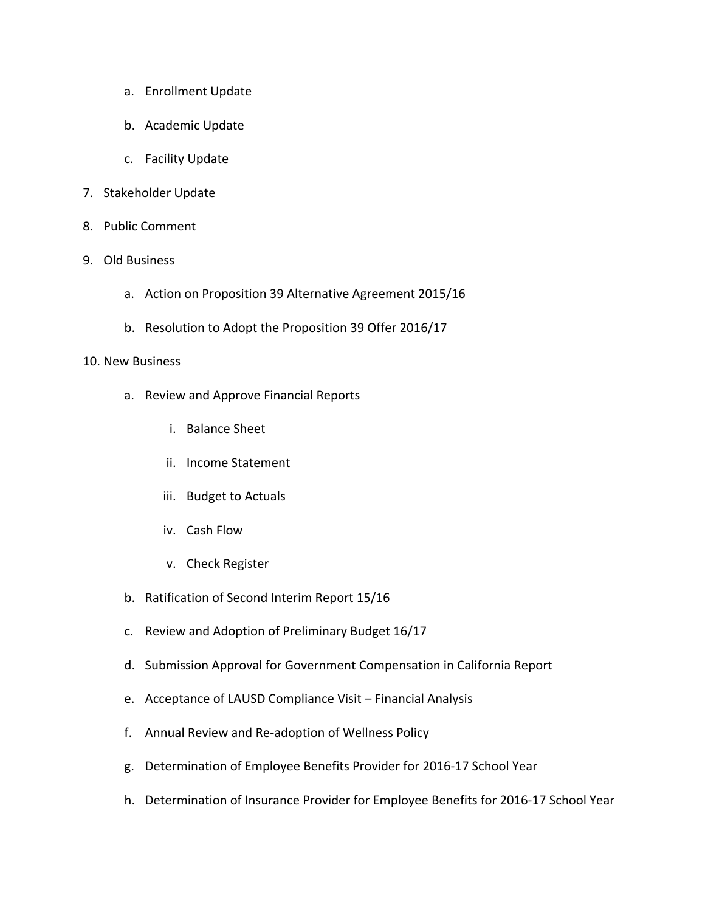- a. Enrollment Update
- b. Academic Update
- c. Facility Update
- 7. Stakeholder Update
- 8. Public Comment
- 9. Old Business
	- a. Action on Proposition 39 Alternative Agreement 2015/16
	- b. Resolution to Adopt the Proposition 39 Offer 2016/17

## 10. New Business

- a. Review and Approve Financial Reports
	- i. Balance Sheet
	- ii. Income Statement
	- iii. Budget to Actuals
	- iv. Cash Flow
	- v. Check Register
- b. Ratification of Second Interim Report 15/16
- c. Review and Adoption of Preliminary Budget 16/17
- d. Submission Approval for Government Compensation in California Report
- e. Acceptance of LAUSD Compliance Visit Financial Analysis
- f. Annual Review and Re-adoption of Wellness Policy
- g. Determination of Employee Benefits Provider for 2016-17 School Year
- h. Determination of Insurance Provider for Employee Benefits for 2016-17 School Year